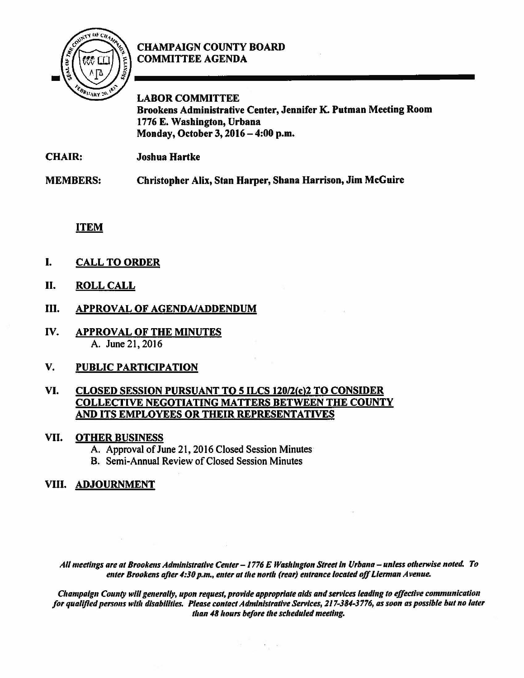

## CHAMPAIGN COUNTY BOARD COMMITTEE AGENDA

LABOR COMMITTEE Brookens Administrative Center, Jennifer K. Putman Meeting Room 1776 E. Washington, Urbana Monday, October 3, 2016- 4:00 p.m.

CHAIR: Joshua Hartke

MEMBERS: Christopher Alix, Stan Harper, Shana Harrison, Jim McGuire

## ITEM

- I. CALL TO ORDER
- II. ROLL CALL
- III. APPROVAL OF AGENDA/ADDENDUM
- IV. APPROVAL OF THE MINUTES A. June 21, 2016
- V. PUBLIC PARTICIPATION

### VI. CLOSED SESSION PURSUANT TO 5 ILCS 120/2(c)2 TO CONSIDER COLLECTIVE NEGOTIATING MATTERS BETWEEN THE COUNTY AND ITS EMPLOYEES OR THEIR REPRESENTATIVES

### VII. OTHER BUSINESS

- A. Approval of June 21, 2016 Closed Session Minutes
- **B.** Semi-Annual Review of Closed Session Minutes

# VIII. ADJOURNMENT

All meetings are at Brookens Administrative Center - 1776 E Washington Street in Urbana - unless otherwise noted. To enter Brookens after 4:30 p.m., enter at the north (rear) entrance located off Lierman Avenue.

*C!,ampalgn County will generally, upon request, provide appropriate aids and services leading to effective communication*  for qualified persons with disabilities. Please contact Administrative Services, 217-384-3776, as soon as possible but no later *than 48 hours before the scheduled meeting.* 

 $\sim$   $\,$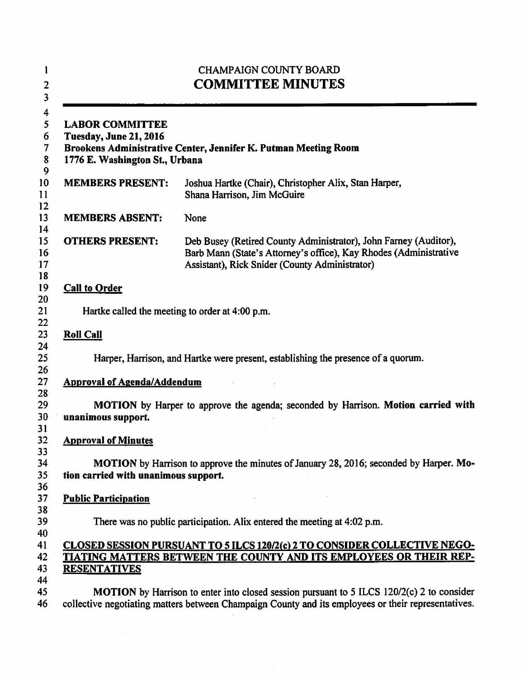| <b>CHAMPAIGN COUNTY BOARD</b><br><b>COMMITTEE MINUTES</b><br><b>LABOR COMMITTEE</b><br>Tuesday, June 21, 2016<br>Brookens Administrative Center, Jennifer K. Putman Meeting Room<br>1776 E. Washington St., Urbana |                                                                                                                                                                                                  |
|--------------------------------------------------------------------------------------------------------------------------------------------------------------------------------------------------------------------|--------------------------------------------------------------------------------------------------------------------------------------------------------------------------------------------------|
|                                                                                                                                                                                                                    |                                                                                                                                                                                                  |
| <b>MEMBERS ABSENT:</b>                                                                                                                                                                                             | None                                                                                                                                                                                             |
| <b>OTHERS PRESENT:</b>                                                                                                                                                                                             | Deb Busey (Retired County Administrator), John Farney (Auditor),<br>Barb Mann (State's Attorney's office), Kay Rhodes (Administrative<br>Assistant), Rick Snider (County Administrator)          |
| <b>Call to Order</b>                                                                                                                                                                                               |                                                                                                                                                                                                  |
| Hartke called the meeting to order at 4:00 p.m.                                                                                                                                                                    |                                                                                                                                                                                                  |
| <b>Roll Call</b>                                                                                                                                                                                                   |                                                                                                                                                                                                  |
|                                                                                                                                                                                                                    | Harper, Harrison, and Hartke were present, establishing the presence of a quorum.                                                                                                                |
| <b>Approval of Agenda/Addendum</b>                                                                                                                                                                                 |                                                                                                                                                                                                  |
| unanimous support.                                                                                                                                                                                                 | MOTION by Harper to approve the agenda; seconded by Harrison. Motion carried with                                                                                                                |
| <b>Approval of Minutes</b>                                                                                                                                                                                         |                                                                                                                                                                                                  |
| tion carried with unanimous support.                                                                                                                                                                               | MOTION by Harrison to approve the minutes of January 28, 2016; seconded by Harper. Mo-                                                                                                           |
| <b>Public Participation</b>                                                                                                                                                                                        |                                                                                                                                                                                                  |
|                                                                                                                                                                                                                    | There was no public participation. Alix entered the meeting at 4:02 p.m.                                                                                                                         |
|                                                                                                                                                                                                                    | CLOSED SESSION PURSUANT TO 5 ILCS 120/2(c) 2 TO CONSIDER COLLECTIVE NEGO-                                                                                                                        |
| <b>RESENTATIVES</b>                                                                                                                                                                                                | TIATING MATTERS BETWEEN THE COUNTY AND ITS EMPLOYEES OR THEIR REP-                                                                                                                               |
|                                                                                                                                                                                                                    |                                                                                                                                                                                                  |
|                                                                                                                                                                                                                    | MOTION by Harrison to enter into closed session pursuant to 5 ILCS 120/2(c) 2 to consider<br>collective negotiating matters between Champaign County and its employees or their representatives. |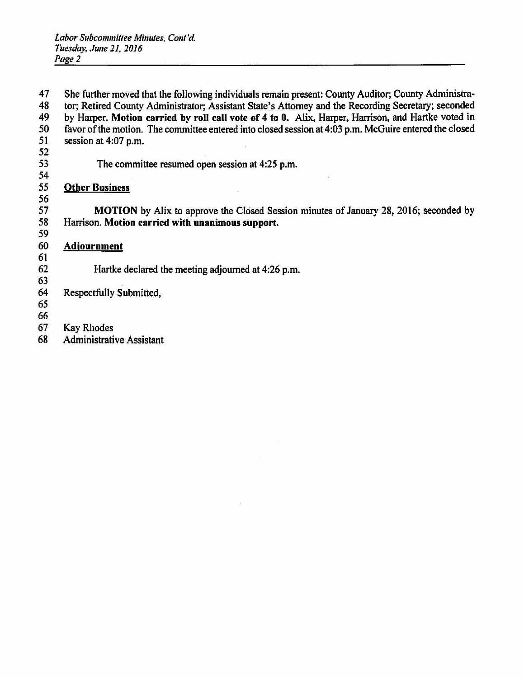47 She further moved that the following individuals remain present: County Auditor; County Administra-<br>48 tor: Retired County Administrator: Assistant State's Attorney and the Recording Secretary; seconded 48 tor; Retired County Administrator; Assistant State's Attorney and the Recording Secretary; seconded<br>49 by Harper, Motion carried by roll call vote of 4 to 0. Alix, Harper, Harrison, and Hartke voted in 49 by Harper. Motion carried by roll call vote of 4 to 0. Alix, Harper, Harrison, and Hartke voted in  $50$  favor of the motion. The committee entered into closed session at 4:03 p.m. McGuire entered the closed 50 favor of the motion. The committee entered into closed session at  $4:03$  p.m. McGuire entered the closed session at  $4:07$  p.m. session at 4:07 p.m. 52 The committee resumed open session at 4:25 p.m. 54<br>55 **Other Business** 56<br>57 57 MOTION by Alix to approve the Closed Session minutes of January 28, 2016; seconded by<br>58 Harrison. Motion carried with unanimous support. Harrison. Motion carried with unanimous support. 59 60 Adiournment 61 62 Hartke declared the meeting adjourned at 4:26 p.m. 63 Respectfully Submitted, *65*  66<br>67 **Kay Rhodes** 68 Administrative Assistant